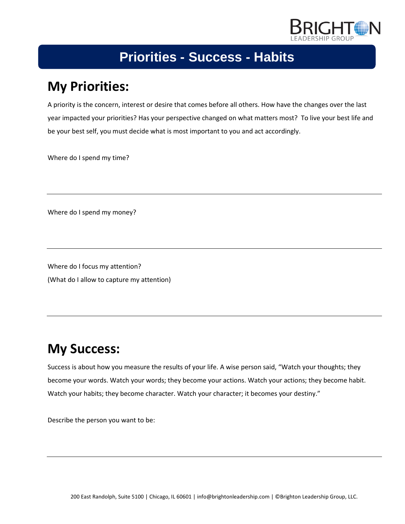

### **My Priorities:**

A priority is the concern, interest or desire that comes before all others. How have the changes over the last year impacted your priorities? Has your perspective changed on what matters most? To live your best life and be your best self, you must decide what is most important to you and act accordingly.

Where do I spend my time?

Where do I spend my money?

Where do I focus my attention? (What do I allow to capture my attention)

# **My Success:**

Success is about how you measure the results of your life. A wise person said, "Watch your thoughts; they become your words. Watch your words; they become your actions. Watch your actions; they become habit. Watch your habits; they become character. Watch your character; it becomes your destiny."

Describe the person you want to be: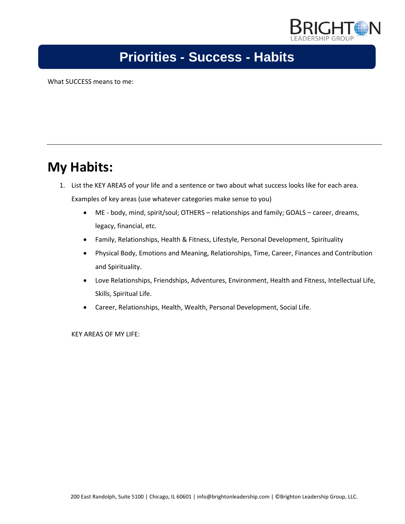

What SUCCESS means to me:

#### **My Habits:**

- 1. List the KEY AREAS of your life and a sentence or two about what success looks like for each area. Examples of key areas (use whatever categories make sense to you)
	- ME body, mind, spirit/soul; OTHERS relationships and family; GOALS career, dreams, legacy, financial, etc.
	- Family, Relationships, Health & Fitness, Lifestyle, Personal Development, Spirituality
	- Physical Body, Emotions and Meaning, Relationships, Time, Career, Finances and Contribution and Spirituality.
	- Love Relationships, Friendships, Adventures, Environment, Health and Fitness, Intellectual Life, Skills, Spiritual Life.
	- Career, Relationships, Health, Wealth, Personal Development, Social Life.

KEY AREAS OF MY LIFE: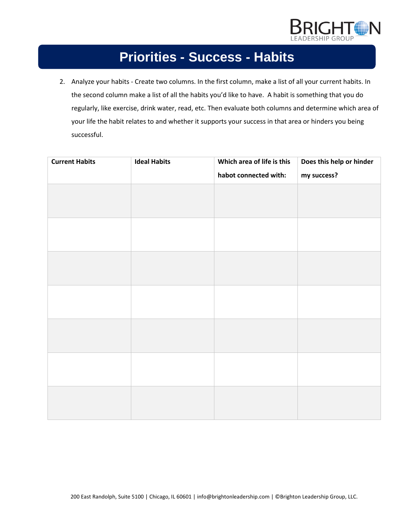

2. Analyze your habits - Create two columns. In the first column, make a list of all your current habits. In the second column make a list of all the habits you'd like to have. A habit is something that you do regularly, like exercise, drink water, read, etc. Then evaluate both columns and determine which area of your life the habit relates to and whether it supports your success in that area or hinders you being successful.

| <b>Current Habits</b> | <b>Ideal Habits</b> | Which area of life is this | Does this help or hinder |
|-----------------------|---------------------|----------------------------|--------------------------|
|                       |                     | habot connected with:      | my success?              |
|                       |                     |                            |                          |
|                       |                     |                            |                          |
|                       |                     |                            |                          |
|                       |                     |                            |                          |
|                       |                     |                            |                          |
|                       |                     |                            |                          |
|                       |                     |                            |                          |
|                       |                     |                            |                          |
|                       |                     |                            |                          |
|                       |                     |                            |                          |
|                       |                     |                            |                          |
|                       |                     |                            |                          |
|                       |                     |                            |                          |
|                       |                     |                            |                          |